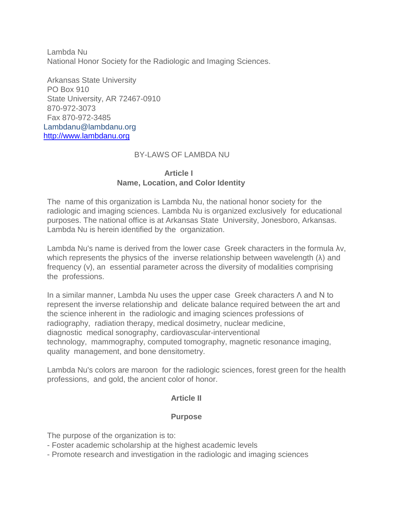Lambda Nu National Honor Society for the Radiologic and Imaging Sciences.

Arkansas State University PO Box 910 State University, AR 72467-0910 870-972-3073 Fax 870-972-3485 Lambdanu@lambdanu.org [http://www.lambdanu.org](http://www.lambdanu.org/)

### BY-LAWS OF LAMBDA NU

#### **Article I Name, Location, and Color Identity**

The name of this organization is Lambda Nu, the national honor society for the radiologic and imaging sciences. Lambda Nu is organized exclusively for educational purposes. The national office is at Arkansas State University, Jonesboro, Arkansas. Lambda Nu is herein identified by the organization.

Lambda Nu's name is derived from the lower case Greek characters in the formula λv, which represents the physics of the inverse relationship between wavelength (λ) and frequency (v), an essential parameter across the diversity of modalities comprising the professions.

In a similar manner, Lambda Nu uses the upper case Greek characters Λ and Ν to represent the inverse relationship and delicate balance required between the art and the science inherent in the radiologic and imaging sciences professions of radiography, radiation therapy, medical dosimetry, nuclear medicine, diagnostic medical sonography, cardiovascular-interventional technology, mammography, computed tomography, magnetic resonance imaging, quality management, and bone densitometry.

Lambda Nu's colors are maroon for the radiologic sciences, forest green for the health professions, and gold, the ancient color of honor.

#### **Article II**

#### **Purpose**

The purpose of the organization is to:

- Foster academic scholarship at the highest academic levels
- Promote research and investigation in the radiologic and imaging sciences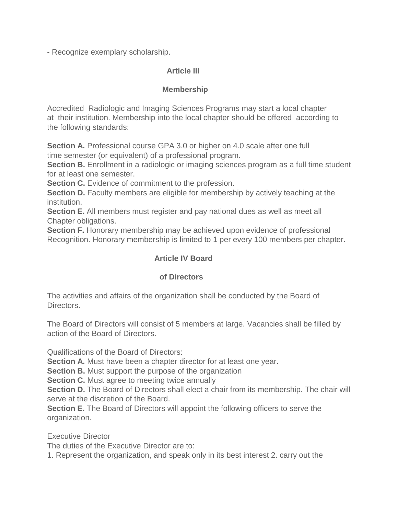- Recognize exemplary scholarship.

# **Article III**

#### **Membership**

Accredited Radiologic and Imaging Sciences Programs may start a local chapter at their institution. Membership into the local chapter should be offered according to the following standards:

**Section A.** Professional course GPA 3.0 or higher on 4.0 scale after one full time semester (or equivalent) of a professional program.

**Section B.** Enrollment in a radiologic or imaging sciences program as a full time student for at least one semester.

**Section C.** Evidence of commitment to the profession.

**Section D.** Faculty members are eligible for membership by actively teaching at the institution.

**Section E.** All members must register and pay national dues as well as meet all Chapter obligations.

**Section F.** Honorary membership may be achieved upon evidence of professional Recognition. Honorary membership is limited to 1 per every 100 members per chapter.

### **Article IV Board**

### **of Directors**

The activities and affairs of the organization shall be conducted by the Board of Directors.

The Board of Directors will consist of 5 members at large. Vacancies shall be filled by action of the Board of Directors.

Qualifications of the Board of Directors:

**Section A.** Must have been a chapter director for at least one year.

**Section B.** Must support the purpose of the organization

**Section C.** Must agree to meeting twice annually

**Section D.** The Board of Directors shall elect a chair from its membership. The chair will serve at the discretion of the Board.

**Section E.** The Board of Directors will appoint the following officers to serve the organization.

Executive Director

The duties of the Executive Director are to:

1. Represent the organization, and speak only in its best interest 2. carry out the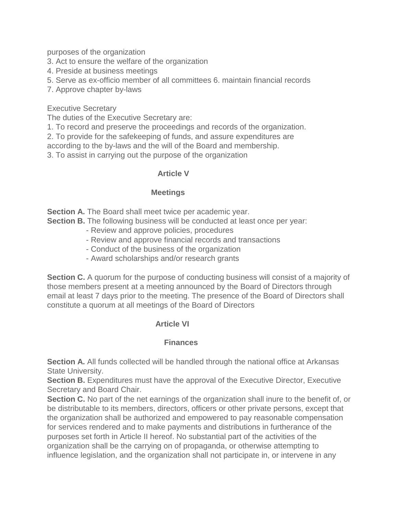purposes of the organization

3. Act to ensure the welfare of the organization

4. Preside at business meetings

5. Serve as ex-officio member of all committees 6. maintain financial records

7. Approve chapter by-laws

Executive Secretary

The duties of the Executive Secretary are:

1. To record and preserve the proceedings and records of the organization.

2. To provide for the safekeeping of funds, and assure expenditures are

according to the by-laws and the will of the Board and membership.

3. To assist in carrying out the purpose of the organization

### **Article V**

### **Meetings**

**Section A.** The Board shall meet twice per academic year.

**Section B.** The following business will be conducted at least once per year:

- Review and approve policies, procedures
- Review and approve financial records and transactions
- Conduct of the business of the organization
- Award scholarships and/or research grants

**Section C.** A quorum for the purpose of conducting business will consist of a majority of those members present at a meeting announced by the Board of Directors through email at least 7 days prior to the meeting. The presence of the Board of Directors shall constitute a quorum at all meetings of the Board of Directors

### **Article VI**

### **Finances**

**Section A.** All funds collected will be handled through the national office at Arkansas State University.

**Section B.** Expenditures must have the approval of the Executive Director, Executive Secretary and Board Chair.

**Section C.** No part of the net earnings of the organization shall inure to the benefit of, or be distributable to its members, directors, officers or other private persons, except that the organization shall be authorized and empowered to pay reasonable compensation for services rendered and to make payments and distributions in furtherance of the purposes set forth in Article II hereof. No substantial part of the activities of the organization shall be the carrying on of propaganda, or otherwise attempting to influence legislation, and the organization shall not participate in, or intervene in any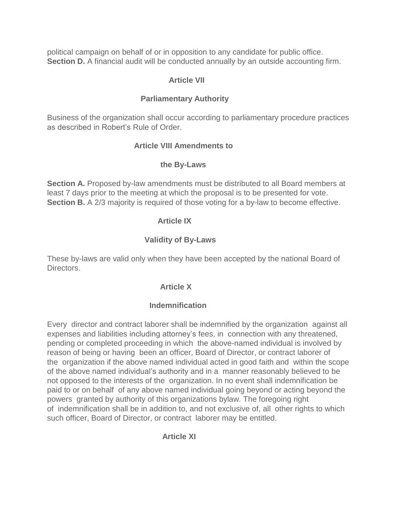political campaign on behalf of or in opposition to any candidate for public office. **Section D.** A financial audit will be conducted annually by an outside accounting firm.

# **Article VII**

# **Parliamentary Authority**

Business of the organization shall occur according to parliamentary procedure practices as described in Robert's Rule of Order.

## **Article VIII Amendments to**

### **the By-Laws**

**Section A.** Proposed by-law amendments must be distributed to all Board members at least 7 days prior to the meeting at which the proposal is to be presented for vote. **Section B.** A 2/3 majority is required of those voting for a by-law to become effective.

### **Article IX**

# **Validity of By-Laws**

These by-laws are valid only when they have been accepted by the national Board of Directors.

### **Article X**

### **Indemnification**

Every director and contract laborer shall be indemnified by the organization against all expenses and liabilities including attorney's fees, in connection with any threatened, pending or completed proceeding in which the above-named individual is involved by reason of being or having been an officer, Board of Director, or contract laborer of the organization if the above named individual acted in good faith and within the scope of the above named individual's authority and in a manner reasonably believed to be not opposed to the interests of the organization. In no event shall indemnification be paid to or on behalf of any above named individual going beyond or acting beyond the powers granted by authority of this organizations bylaw. The foregoing right of indemnification shall be in addition to, and not exclusive of, all other rights to which such officer, Board of Director, or contract laborer may be entitled.

**Article XI**